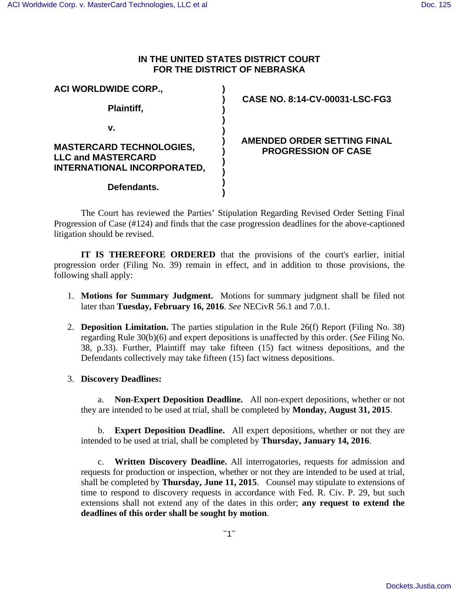# **IN THE UNITED STATES DISTRICT COURT FOR THE DISTRICT OF NEBRASKA**

| <b>ACI WORLDWIDE CORP.,</b>                                                                 | CASE NO. 8:14-CV-00031-LSC-FG3                            |
|---------------------------------------------------------------------------------------------|-----------------------------------------------------------|
| Plaintiff,                                                                                  |                                                           |
| ۷.                                                                                          |                                                           |
| <b>MASTERCARD TECHNOLOGIES,</b><br><b>LLC and MASTERCARD</b><br>INTERNATIONAL INCORPORATED, | AMENDED ORDER SETTING FINAL<br><b>PROGRESSION OF CASE</b> |
| Defendants.                                                                                 |                                                           |

The Court has reviewed the Parties' Stipulation Regarding Revised Order Setting Final Progression of Case (#124) and finds that the case progression deadlines for the above-captioned litigation should be revised.

**IT IS THEREFORE ORDERED** that the provisions of the court's earlier, initial progression order (Filing No. 39) remain in effect, and in addition to those provisions, the following shall apply:

- 1. **Motions for Summary Judgment.** Motions for summary judgment shall be filed not later than **Tuesday, February 16, 2016**. *See* NECivR 56.1 and 7.0.1.
- 2. **Deposition Limitation.** The parties stipulation in the Rule 26(f) Report (Filing No. 38) regarding Rule 30(b)(6) and expert depositions is unaffected by this order. (*See* Filing No. 38, p.33). Further, Plaintiff may take fifteen (15) fact witness depositions, and the Defendants collectively may take fifteen (15) fact witness depositions.
- 3. **Discovery Deadlines:**

a. **Non-Expert Deposition Deadline.** All non-expert depositions, whether or not they are intended to be used at trial, shall be completed by **Monday, August 31, 2015**.

b. **Expert Deposition Deadline.** All expert depositions, whether or not they are intended to be used at trial, shall be completed by **Thursday, January 14, 2016**.

c. **Written Discovery Deadline.** All interrogatories, requests for admission and requests for production or inspection, whether or not they are intended to be used at trial, shall be completed by **Thursday, June 11, 2015**. Counsel may stipulate to extensions of time to respond to discovery requests in accordance with Fed. R. Civ. P. 29, but such extensions shall not extend any of the dates in this order; **any request to extend the deadlines of this order shall be sought by motion**.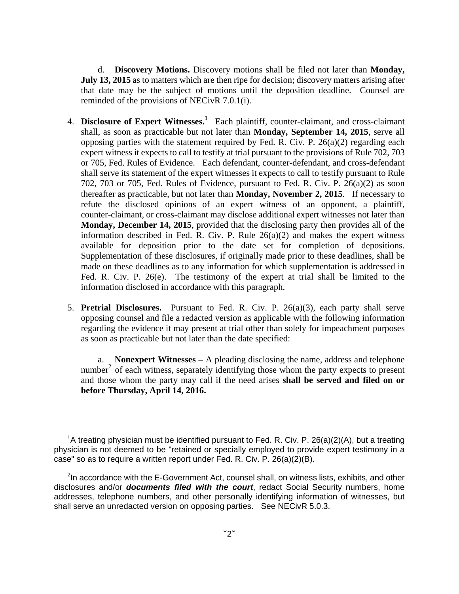d. **Discovery Motions.** Discovery motions shall be filed not later than **Monday, July 13, 2015** as to matters which are then ripe for decision; discovery matters arising after that date may be the subject of motions until the deposition deadline. Counsel are reminded of the provisions of NECivR 7.0.1(i).

- 4. **Disclosure of Expert Witnesses.<sup>1</sup>** Each plaintiff, counter-claimant, and cross-claimant shall, as soon as practicable but not later than **Monday, September 14, 2015**, serve all opposing parties with the statement required by Fed. R. Civ. P.  $26(a)(2)$  regarding each expert witness it expects to call to testify at trial pursuant to the provisions of Rule 702, 703 or 705, Fed. Rules of Evidence. Each defendant, counter-defendant, and cross-defendant shall serve its statement of the expert witnesses it expects to call to testify pursuant to Rule 702, 703 or 705, Fed. Rules of Evidence, pursuant to Fed. R. Civ. P. 26(a)(2) as soon thereafter as practicable, but not later than **Monday, November 2, 2015**. If necessary to refute the disclosed opinions of an expert witness of an opponent, a plaintiff, counter-claimant, or cross-claimant may disclose additional expert witnesses not later than **Monday, December 14, 2015**, provided that the disclosing party then provides all of the information described in Fed. R. Civ. P. Rule  $26(a)(2)$  and makes the expert witness available for deposition prior to the date set for completion of depositions. Supplementation of these disclosures, if originally made prior to these deadlines, shall be made on these deadlines as to any information for which supplementation is addressed in Fed. R. Civ. P. 26(e). The testimony of the expert at trial shall be limited to the information disclosed in accordance with this paragraph.
- 5. **Pretrial Disclosures.** Pursuant to Fed. R. Civ. P. 26(a)(3), each party shall serve opposing counsel and file a redacted version as applicable with the following information regarding the evidence it may present at trial other than solely for impeachment purposes as soon as practicable but not later than the date specified:

a. **Nonexpert Witnesses –** A pleading disclosing the name, address and telephone number<sup>2</sup> of each witness, separately identifying those whom the party expects to present and those whom the party may call if the need arises **shall be served and filed on or before Thursday, April 14, 2016.**

<u>.</u>

<sup>&</sup>lt;sup>1</sup>A treating physician must be identified pursuant to Fed. R. Civ. P. 26(a)(2)(A), but a treating physician is not deemed to be "retained or specially employed to provide expert testimony in a case" so as to require a written report under Fed. R. Civ. P. 26(a)(2)(B).

<sup>&</sup>lt;sup>2</sup>In accordance with the E-Government Act, counsel shall, on witness lists, exhibits, and other disclosures and/or **documents filed with the court**, redact Social Security numbers, home addresses, telephone numbers, and other personally identifying information of witnesses, but shall serve an unredacted version on opposing parties. See NECivR 5.0.3.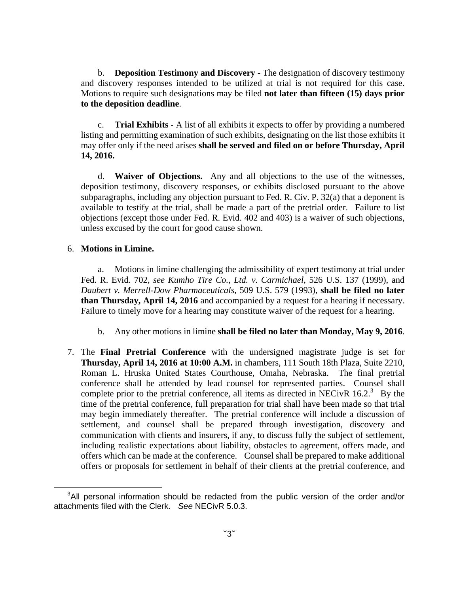b. **Deposition Testimony and Discovery** - The designation of discovery testimony and discovery responses intended to be utilized at trial is not required for this case. Motions to require such designations may be filed **not later than fifteen (15) days prior to the deposition deadline**.

c. **Trial Exhibits -** A list of all exhibits it expects to offer by providing a numbered listing and permitting examination of such exhibits, designating on the list those exhibits it may offer only if the need arises **shall be served and filed on or before Thursday, April 14, 2016.**

d. **Waiver of Objections.** Any and all objections to the use of the witnesses, deposition testimony, discovery responses, or exhibits disclosed pursuant to the above subparagraphs, including any objection pursuant to Fed. R. Civ. P. 32(a) that a deponent is available to testify at the trial, shall be made a part of the pretrial order. Failure to list objections (except those under Fed. R. Evid. 402 and 403) is a waiver of such objections, unless excused by the court for good cause shown.

### 6. **Motions in Limine.**

 $\overline{a}$ 

a. Motions in limine challenging the admissibility of expert testimony at trial under Fed. R. Evid. 702, *see Kumho Tire Co., Ltd. v. Carmichael*, 526 U.S. 137 (1999), and *Daubert v. Merrell-Dow Pharmaceuticals*, 509 U.S. 579 (1993), **shall be filed no later than Thursday, April 14, 2016** and accompanied by a request for a hearing if necessary. Failure to timely move for a hearing may constitute waiver of the request for a hearing.

- b. Any other motions in limine **shall be filed no later than Monday, May 9, 2016**.
- 7. The **Final Pretrial Conference** with the undersigned magistrate judge is set for **Thursday, April 14, 2016 at 10:00 A.M.** in chambers, 111 South 18th Plaza, Suite 2210, Roman L. Hruska United States Courthouse, Omaha, Nebraska. The final pretrial conference shall be attended by lead counsel for represented parties. Counsel shall complete prior to the pretrial conference, all items as directed in NECivR  $16.2$ .<sup>3</sup> By the time of the pretrial conference, full preparation for trial shall have been made so that trial may begin immediately thereafter. The pretrial conference will include a discussion of settlement, and counsel shall be prepared through investigation, discovery and communication with clients and insurers, if any, to discuss fully the subject of settlement, including realistic expectations about liability, obstacles to agreement, offers made, and offers which can be made at the conference. Counsel shall be prepared to make additional offers or proposals for settlement in behalf of their clients at the pretrial conference, and

<sup>&</sup>lt;sup>3</sup>All personal information should be redacted from the public version of the order and/or attachments filed with the Clerk. See NECivR 5.0.3.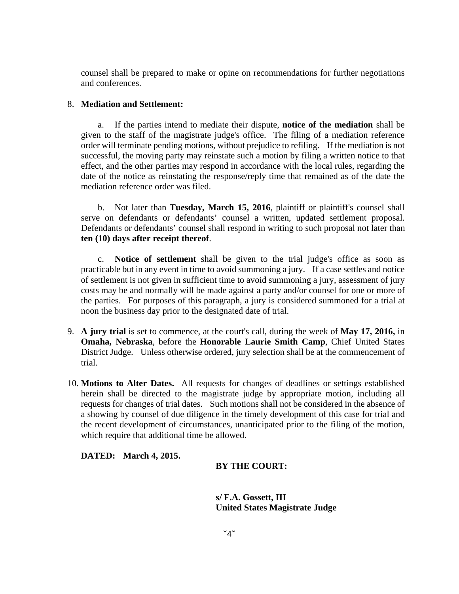counsel shall be prepared to make or opine on recommendations for further negotiations and conferences.

### 8. **Mediation and Settlement:**

a. If the parties intend to mediate their dispute, **notice of the mediation** shall be given to the staff of the magistrate judge's office. The filing of a mediation reference order will terminate pending motions, without prejudice to refiling. If the mediation is not successful, the moving party may reinstate such a motion by filing a written notice to that effect, and the other parties may respond in accordance with the local rules, regarding the date of the notice as reinstating the response/reply time that remained as of the date the mediation reference order was filed.

b. Not later than **Tuesday, March 15, 2016**, plaintiff or plaintiff's counsel shall serve on defendants or defendants' counsel a written, updated settlement proposal. Defendants or defendants' counsel shall respond in writing to such proposal not later than **ten (10) days after receipt thereof**.

c. **Notice of settlement** shall be given to the trial judge's office as soon as practicable but in any event in time to avoid summoning a jury. If a case settles and notice of settlement is not given in sufficient time to avoid summoning a jury, assessment of jury costs may be and normally will be made against a party and/or counsel for one or more of the parties. For purposes of this paragraph, a jury is considered summoned for a trial at noon the business day prior to the designated date of trial.

- 9. **A jury trial** is set to commence, at the court's call, during the week of **May 17, 2016,** in **Omaha, Nebraska**, before the **Honorable Laurie Smith Camp**, Chief United States District Judge. Unless otherwise ordered, jury selection shall be at the commencement of trial.
- 10. **Motions to Alter Dates.** All requests for changes of deadlines or settings established herein shall be directed to the magistrate judge by appropriate motion, including all requests for changes of trial dates. Such motions shall not be considered in the absence of a showing by counsel of due diligence in the timely development of this case for trial and the recent development of circumstances, unanticipated prior to the filing of the motion, which require that additional time be allowed.

## **DATED: March 4, 2015.**

## **BY THE COURT:**

**s/ F.A. Gossett, III United States Magistrate Judge**